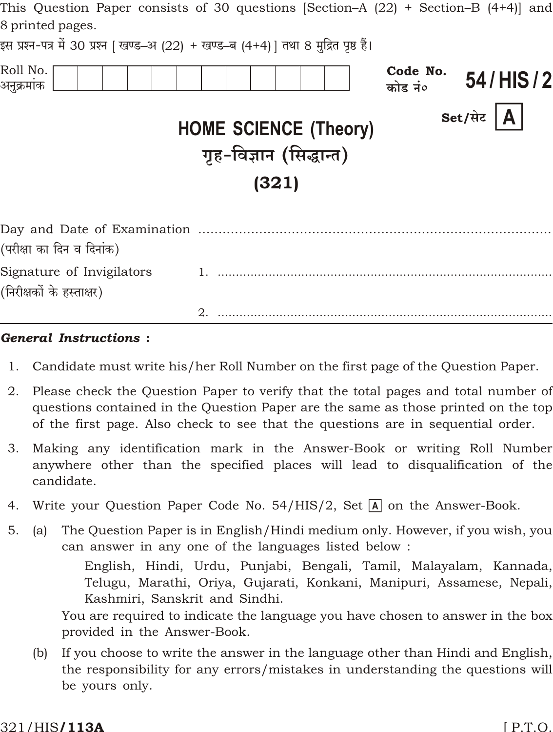| This Question Paper consists of 30 questions $\beta$ ection–A $\{22\}$ + Section–B $\{4+4\}$ and<br>8 printed pages.<br>इस प्रश्न-पत्र में 30 प्रश्न   खण्ड–अ (22) + खण्ड–ब (4+4)   तथा 8 मुद्रित पृष्ठ हैं। |                              |                     |               |
|--------------------------------------------------------------------------------------------------------------------------------------------------------------------------------------------------------------|------------------------------|---------------------|---------------|
| Roll No.<br>अनुक्रमांक                                                                                                                                                                                       |                              | Code No.<br>कोड नं० | 54/HIS/2      |
|                                                                                                                                                                                                              | <b>HOME SCIENCE (Theory)</b> |                     | Set/सेट $ A $ |
|                                                                                                                                                                                                              | गृह-विज्ञान (सिद्धान्त)      |                     |               |
|                                                                                                                                                                                                              | (321)                        |                     |               |
| (परीक्षा का दिन व दिनांक)                                                                                                                                                                                    |                              |                     |               |
| Signature of Invigilators<br>(निरीक्षकों के हस्ताक्षर)                                                                                                                                                       |                              |                     |               |
|                                                                                                                                                                                                              | 2.                           |                     |               |

#### **General Instructions:**

- $1.$ Candidate must write his/her Roll Number on the first page of the Question Paper.
- 2. Please check the Question Paper to verify that the total pages and total number of questions contained in the Question Paper are the same as those printed on the top of the first page. Also check to see that the questions are in sequential order.
- 3. Making any identification mark in the Answer-Book or writing Roll Number anywhere other than the specified places will lead to disqualification of the candidate.
- Write your Question Paper Code No. 54/HIS/2, Set  $\overline{A}$  on the Answer-Book. 4.
- $5<sub>1</sub>$ The Question Paper is in English/Hindi medium only. However, if you wish, you  $(a)$ can answer in any one of the languages listed below:

English, Hindi, Urdu, Punjabi, Bengali, Tamil, Malayalam, Kannada, Telugu, Marathi, Oriya, Gujarati, Konkani, Manipuri, Assamese, Nepali, Kashmiri, Sanskrit and Sindhi.

You are required to indicate the language you have chosen to answer in the box provided in the Answer-Book.

If you choose to write the answer in the language other than Hindi and English,  $(b)$ the responsibility for any errors/mistakes in understanding the questions will be yours only.

#### 321/HIS**/113A**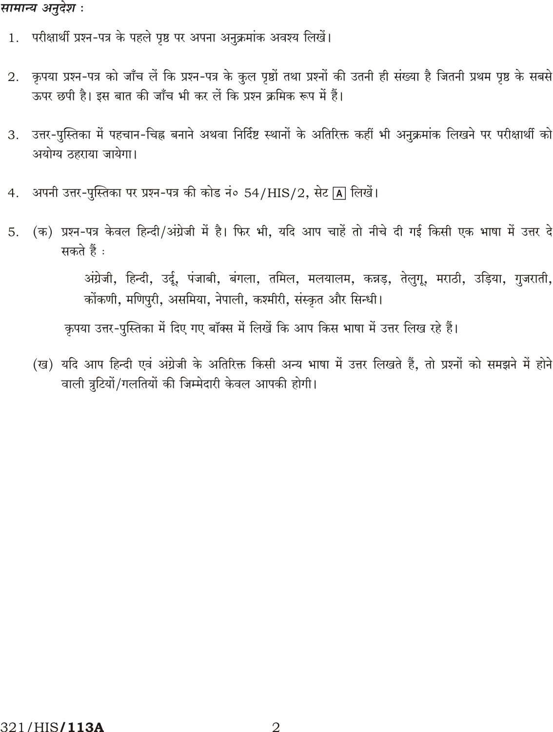### सामान्य अनुदेश :

- 1. परीक्षार्थी प्रश्न-पत्र के पहले पृष्ठ पर अपना अनुक्रमांक अवश्य लिखें।
- कृपया प्रश्न-पत्र को जाँच लें कि प्रश्न-पत्र के कुल पृष्ठों तथा प्रश्नों की उतनी ही संख्या है जितनी प्रथम पृष्ठ के सबसे 2. ऊपर छपी है। इस बात की जाँच भी कर लें कि प्रश्न क्रमिक रूप में हैं।
- उत्तर-पुस्तिका में पहचान-चिह्न बनाने अथवा निर्दिष्ट स्थानों के अतिरिक्त कहीं भी अनुक्रमांक लिखने पर परीक्षार्थी को 3. अयोग्य ठहराया जायेगा।
- अपनी उत्तर-पुस्तिका पर प्रश्न-पत्र की कोड नं० 54/HIS/2, सेट [A] लिखें।  $4.$
- (क) प्रश्न-पत्र केवल हिन्दी/अंग्रेजी में है। फिर भी, यदि आप चाहें तो नीचे दी गई किसी एक भाषा में उत्तर दे 5. सकते हैं :

अंग्रेजी, हिन्दी, उर्दू, पंजाबी, बंगला, तमिल, मलयालम, कन्नड़, तेलुगू, मराठी, उड़िया, गुजराती, कोंकणी, मणिपुरी, असमिया, नेपाली, कश्मीरी, संस्कृत और सिन्धी।

कृपया उत्तर-पुस्तिका में दिए गए बॉक्स में लिखें कि आप किस भाषा में उत्तर लिख रहे हैं।

(ख) यदि आप हिन्दी एवं अंग्रेजी के अतिरिक्त किसी अन्य भाषा में उत्तर लिखते हैं, तो प्रश्नों को समझने में होने वाली त्रुटियों/गलतियों की जिम्मेदारी केवल आपकी होगी।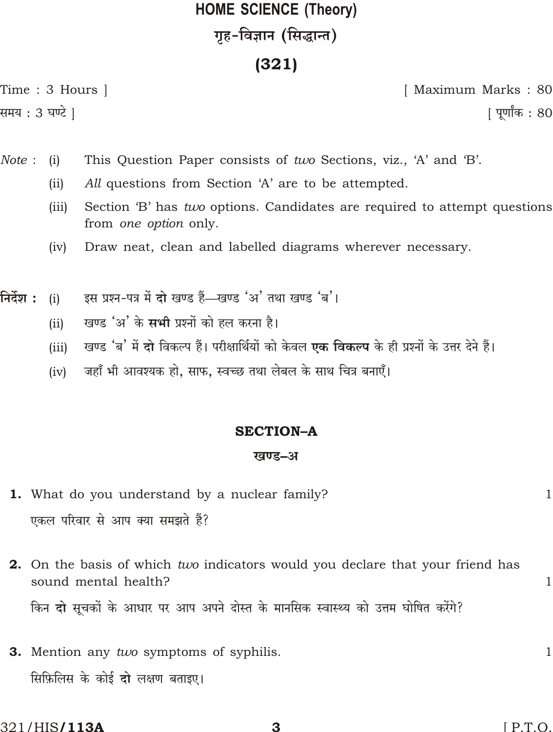# **HOME SCIENCE (Theory)** गृह-विज्ञान (सिद्धान्त)

# $(321)$

Time: 3 Hours |

[ Maximum Marks: 80

समय : 3 घण्टे ]

<u>|</u> पूर्णांक : 80

- Note: This Question Paper consists of two Sections, viz., 'A' and 'B'.  $(i)$ 
	- All questions from Section 'A' are to be attempted.  $(ii)$
	- Section 'B' has *two* options. Candidates are required to attempt questions  $(iii)$ from one option only.
	- $(iv)$ Draw neat, clean and labelled diagrams wherever necessary.
- इस प्रश्न-पत्र में दो खण्ड हैं-खण्ड 'अ' तथा खण्ड 'ब'। निर्देश :  $(i)$ 
	- खण्ड 'अ' के सभी प्रश्नों को हल करना है।  $(ii)$
	- खण्ड 'ब' में दो विकल्प हैं। परीक्षार्थियों को केवल एक विकल्प के ही प्रश्नों के उत्तर देने हैं।  $(iii)$
	- जहाँ भी आवश्यक हो, साफ, स्वच्छ तथा लेबल के साथ चित्र बनाएँ।  $(iv)$

# **SECTION-A**

### खण्ड–अ

- 1. What do you understand by a nuclear family? एकल परिवार से आप क्या समझते हैं?
- 2. On the basis of which two indicators would you declare that your friend has sound mental health? किन दो सूचकों के आधार पर आप अपने दोस्त के मानसिक स्वास्थ्य को उत्तम घोषित करेंगे?
- **3.** Mention any two symptoms of syphilis. सिफ़िलिस के कोई दो लक्षण बताइए।

 $\mathbf{1}$ 

 $\mathbf{1}$ 

 $\mathbf{1}$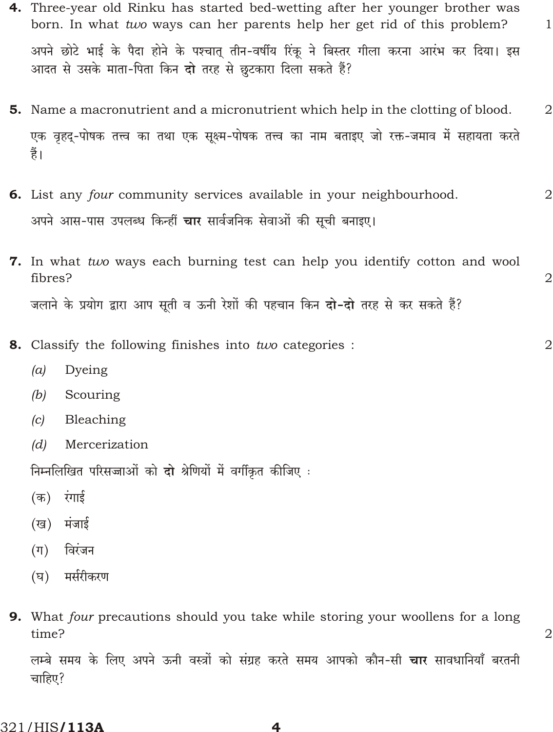- 4. Three-year old Rinku has started bed-wetting after her younger brother was born. In what two ways can her parents help her get rid of this problem? अपने छोटे भाई के पैदा होने के पश्चात् तीन-वर्षीय रिंकू ने बिस्तर गीला करना आरंभ कर दिया। इस आदत से उसके माता-पिता किन दो तरह से छुटकारा दिला सकते हैं?
- 5. Name a macronutrient and a micronutrient which help in the clotting of blood.  $\overline{2}$ एक वृहद्-पोषक तत्त्व का तथा एक सूक्ष्म-पोषक तत्त्व का नाम बताइए जो रक्त-जमाव में सहायता करते हैं।
- 6. List any four community services available in your neighbourhood.  $\overline{2}$ अपने आस-पास उपलब्ध किन्हीं **चार** सार्वजनिक सेवाओं की सूची बनाइए।
- 7. In what two ways each burning test can help you identify cotton and wool fibres? जलाने के प्रयोग द्वारा आप सुती व ऊनी रेशों की पहचान किन **दो-दो** तरह से कर सकते हैं?
- 8. Classify the following finishes into two categories :  $\overline{2}$ 
	- Dyeing  $(a)$
	- Scouring  $(b)$
	- Bleaching  $|c|$
	- $(d)$ Mercerization

निम्नलिखित परिसज्जाओं को दो श्रेणियों में वर्गीकृत कीजिए :

- (क) रंगाई
- (ख) मंजाई
- $(\Pi)$ विरंजन
- (घ) मर्सरीकरण
- **9.** What four precautions should you take while storing your woollens for a long time?

 $\overline{2}$ 

 $\mathbf{1}$ 

 $\overline{2}$ 

लम्बे समय के लिए अपने ऊनी वस्त्रों को संग्रह करते समय आपको कौन-सी **चार** सावधानियाँ बरतनी चाहिए?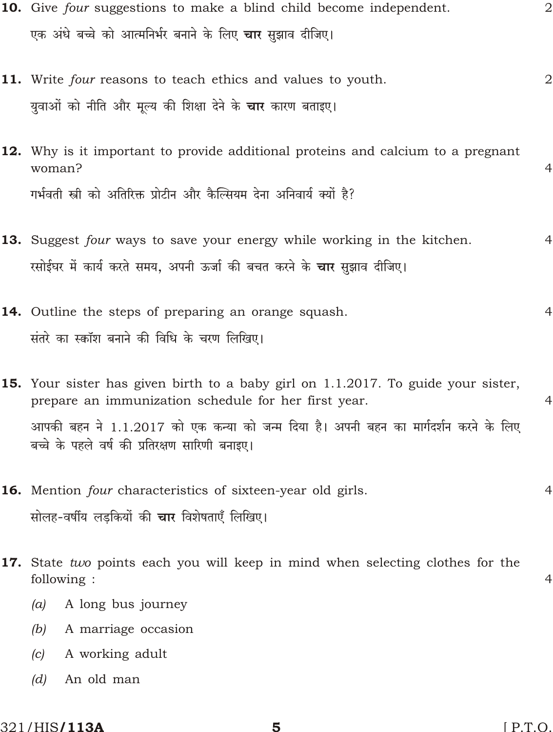- 10. Give four suggestions to make a blind child become independent.  $\overline{2}$ एक अंधे बच्चे को आत्मनिर्भर बनाने के लिए **चार** सझाव दीजिए।
- 11. Write four reasons to teach ethics and values to youth.  $\overline{2}$ युवाओं को नीति और मूल्य की शिक्षा देने के **चार** कारण बताइए।
- 12. Why is it important to provide additional proteins and calcium to a pregnant  $w<sub>oman</sub>$ ?  $\overline{4}$ गर्भवती स्त्री को अतिरिक्त प्रोटीन और कैल्सियम देना अनिवार्य क्यों है?
- 13. Suggest four ways to save your energy while working in the kitchen.  $\overline{4}$ रसोईघर में कार्य करते समय, अपनी ऊर्जा की बचत करने के **चार** सुझाव दीजिए।
- 14. Outline the steps of preparing an orange squash.  $\overline{4}$ संतरे का स्कॉश बनाने की विधि के चरण लिखिए।

15. Your sister has given birth to a baby girl on 1.1.2017. To guide your sister, prepare an immunization schedule for her first year.  $\overline{4}$ आपकी बहन ने 1.1.2017 को एक कन्या को जन्म दिया है। अपनी बहन का मार्गदर्शन करने के लिए बच्चे के पहले वर्ष की प्रतिरक्षण सारिणी बनाइए।

- **16.** Mention *four* characteristics of sixteen-year old girls.  $\overline{4}$ सोलह-वर्षीय लडकियों की **चार** विशेषताएँ लिखिए।
- 17. State two points each you will keep in mind when selecting clothes for the following:  $\overline{4}$ 
	- $(a)$ A long bus journey
	- $(b)$ A marriage occasion
	- $|c|$ A working adult
	- $(d)$ An old man

#### 321/HIS**/113A**

 $[ P.T.O.$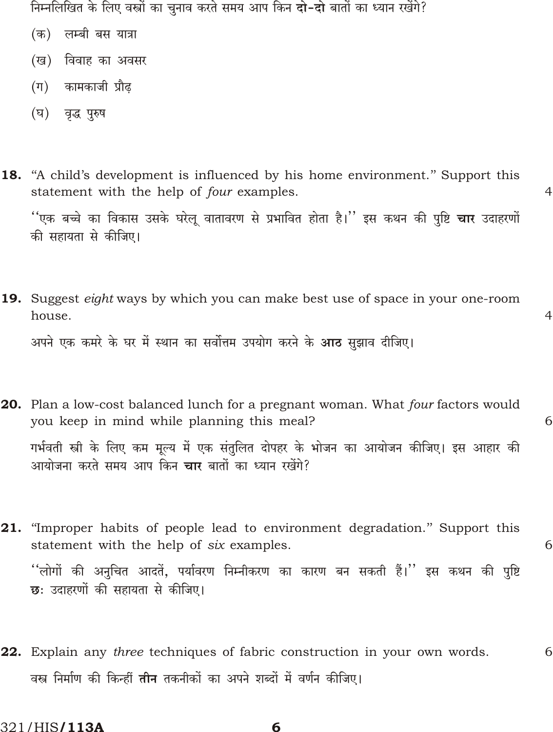निम्नलिखित के लिए वस्त्रों का चनाव करते समय आप किन **दो-दो** बातों का ध्यान रखेंगे?

- लम्बी बस यात्रा (क)
- (ख) विवाह का अवसर
- (ग) कामकाजी प्रौढ
- (घ) वृद्ध पुरुष
- **18.** "A child's development is influenced by his home environment." Support this statement with the help of four examples.

''एक बच्चे का विकास उसके घरेलू वातावरण से प्रभावित होता है।'' इस कथन की पुष्टि **चार** उदाहरणों की सहायता से कीजिए।

 $\overline{4}$ 

 $\overline{4}$ 

**19.** Suggest *eight* ways by which you can make best use of space in your one-room house.

अपने एक कमरे के घर में स्थान का सर्वोत्तम उपयोग करने के **आठ** सझाव दीजिए।

- **20.** Plan a low-cost balanced lunch for a pregnant woman. What four factors would you keep in mind while planning this meal? 6 गर्भवती स्त्री के लिए कम मूल्य में एक संतुलित दोपहर के भोजन का आयोजन कीजिए। इस आहार की आयोजना करते समय आप किन **चार** बातों का ध्यान रखेंगे?
- 21. "Improper habits of people lead to environment degradation." Support this statement with the help of six examples. 6 ''लोगों की अनुचित आदतें, पर्यावरण निम्नीकरण का कारण बन सकती हैं।'' इस कथन की पुष्टि छः उदाहरणों की सहायता से कीजिए।
- **22.** Explain any *three* techniques of fabric construction in your own words. 6 वस्त्र निर्माण की किन्हीं **तीन** तकनीकों का अपने शब्दों में वर्णन कीजिए।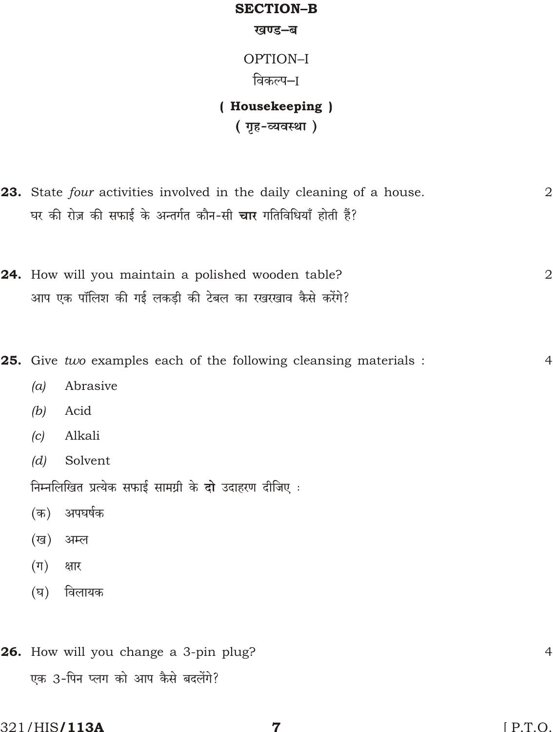# **SECTION-B** खण्ड-ब OPTION-I विकल्प–ा (Housekeeping) (गृह-व्यवस्था) 23. State four activities involved in the daily cleaning of a house.  $\overline{2}$ घर की रोज़ की सफाई के अन्तर्गत कौन-सी **चार** गतिविधियाँ होती हैं? 24. How will you maintain a polished wooden table?  $\overline{2}$ आप एक पॉलिश की गई लकडी की टेबल का रखरखाव कैसे करेंगे? 25. Give two examples each of the following cleansing materials:  $\overline{4}$  $(a)$ Abrasive Acid  $(b)$ Alkali  $|c|$  $(d)$ Solvent निम्नलिखित प्रत्येक सफाई सामग्री के दो उदाहरण दीजिए : (क) अपघर्षक (ख) अम्ल  $(\pi)$ क्षार विलायक  $(\nabla)$ 26. How will you change a 3-pin plug?  $\overline{4}$ एक 3-पिन प्लग को आप कैसे बदलेंगे?